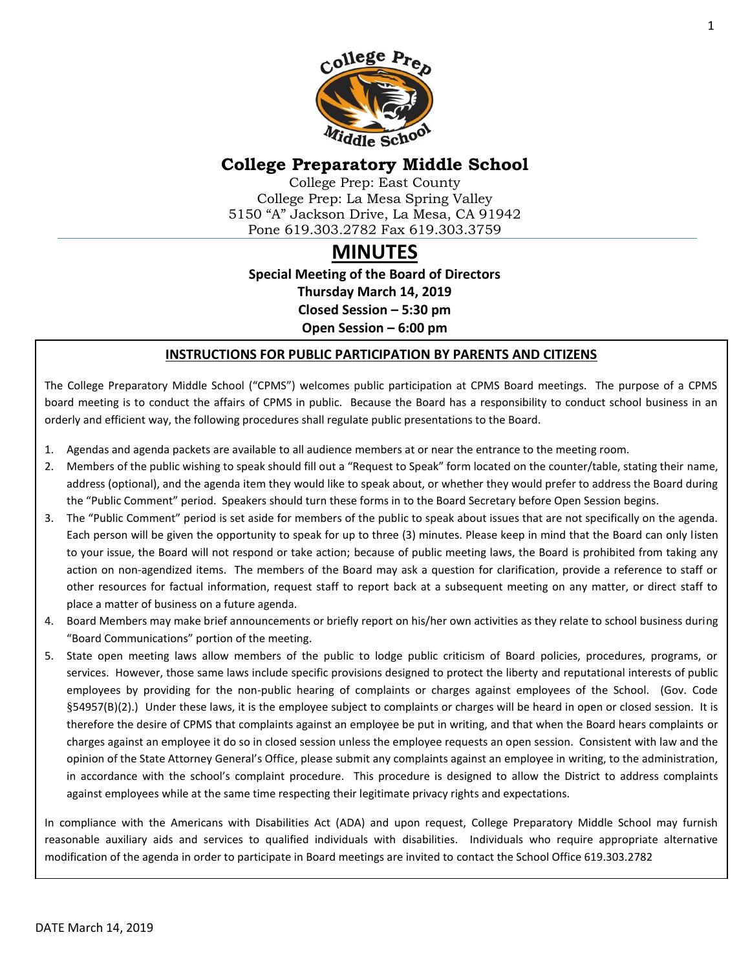

## **College Preparatory Middle School**

College Prep: East County College Prep: La Mesa Spring Valley 5150 "A" Jackson Drive, La Mesa, CA 91942 Pone 619.303.2782 Fax 619.303.3759

# **MINUTES**

**Special Meeting of the Board of Directors Thursday March 14, 2019 Closed Session – 5:30 pm**

**Open Session – 6:00 pm**

#### **INSTRUCTIONS FOR PUBLIC PARTICIPATION BY PARENTS AND CITIZENS**

The College Preparatory Middle School ("CPMS") welcomes public participation at CPMS Board meetings. The purpose of a CPMS board meeting is to conduct the affairs of CPMS in public. Because the Board has a responsibility to conduct school business in an orderly and efficient way, the following procedures shall regulate public presentations to the Board.

- 1. Agendas and agenda packets are available to all audience members at or near the entrance to the meeting room.
- 2. Members of the public wishing to speak should fill out a "Request to Speak" form located on the counter/table, stating their name, address (optional), and the agenda item they would like to speak about, or whether they would prefer to address the Board during the "Public Comment" period. Speakers should turn these forms in to the Board Secretary before Open Session begins.
- 3. The "Public Comment" period is set aside for members of the public to speak about issues that are not specifically on the agenda. Each person will be given the opportunity to speak for up to three (3) minutes. Please keep in mind that the Board can only listen to your issue, the Board will not respond or take action; because of public meeting laws, the Board is prohibited from taking any action on non-agendized items. The members of the Board may ask a question for clarification, provide a reference to staff or other resources for factual information, request staff to report back at a subsequent meeting on any matter, or direct staff to place a matter of business on a future agenda.
- 4. Board Members may make brief announcements or briefly report on his/her own activities as they relate to school business during "Board Communications" portion of the meeting.
- 5. State open meeting laws allow members of the public to lodge public criticism of Board policies, procedures, programs, or services. However, those same laws include specific provisions designed to protect the liberty and reputational interests of public employees by providing for the non-public hearing of complaints or charges against employees of the School. (Gov. Code §54957(B)(2).) Under these laws, it is the employee subject to complaints or charges will be heard in open or closed session. It is therefore the desire of CPMS that complaints against an employee be put in writing, and that when the Board hears complaints or charges against an employee it do so in closed session unless the employee requests an open session. Consistent with law and the opinion of the State Attorney General's Office, please submit any complaints against an employee in writing, to the administration, in accordance with the school's complaint procedure. This procedure is designed to allow the District to address complaints against employees while at the same time respecting their legitimate privacy rights and expectations.

In compliance with the Americans with Disabilities Act (ADA) and upon request, College Preparatory Middle School may furnish reasonable auxiliary aids and services to qualified individuals with disabilities. Individuals who require appropriate alternative modification of the agenda in order to participate in Board meetings are invited to contact the School Office 619.303.2782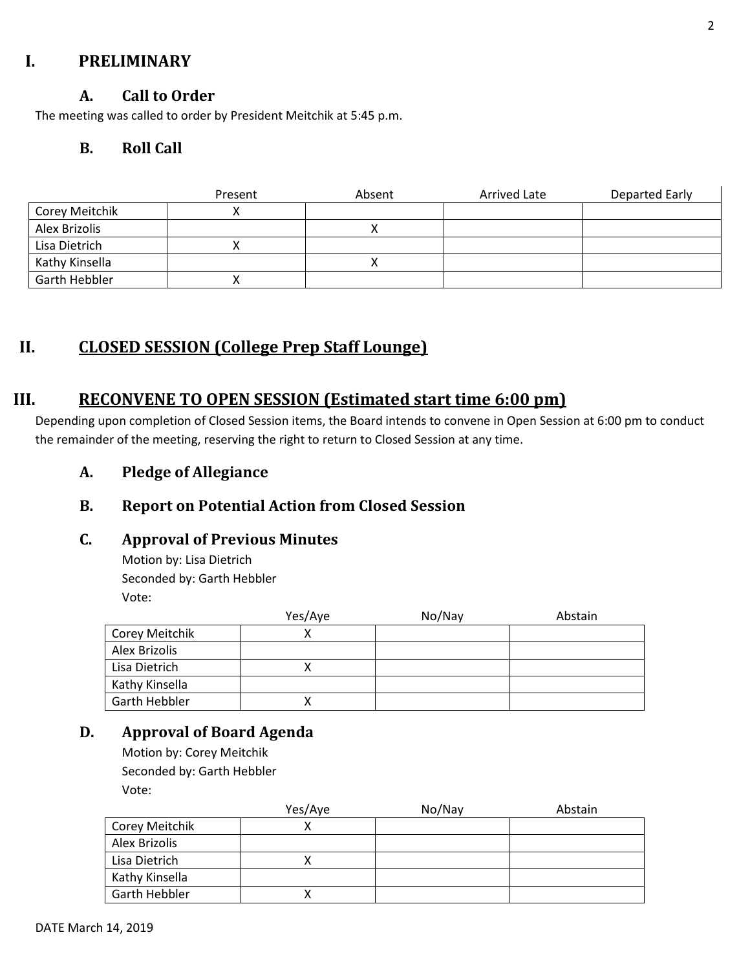## **I. PRELIMINARY**

### **A. Call to Order**

The meeting was called to order by President Meitchik at 5:45 p.m.

## **B. Roll Call**

|                | Present | Absent | Arrived Late | Departed Early |
|----------------|---------|--------|--------------|----------------|
| Corey Meitchik |         |        |              |                |
| Alex Brizolis  |         |        |              |                |
| Lisa Dietrich  |         |        |              |                |
| Kathy Kinsella |         |        |              |                |
| Garth Hebbler  |         |        |              |                |

## **II. CLOSED SESSION (College Prep Staff Lounge)**

## **III. RECONVENE TO OPEN SESSION (Estimated start time 6:00 pm)**

Depending upon completion of Closed Session items, the Board intends to convene in Open Session at 6:00 pm to conduct the remainder of the meeting, reserving the right to return to Closed Session at any time.

**A. Pledge of Allegiance**

## **B. Report on Potential Action from Closed Session**

#### **C. Approval of Previous Minutes**

Motion by: Lisa Dietrich Seconded by: Garth Hebbler Vote:

|                | Yes/Aye | No/Nay | Abstain |
|----------------|---------|--------|---------|
| Corey Meitchik |         |        |         |
| Alex Brizolis  |         |        |         |
| Lisa Dietrich  |         |        |         |
| Kathy Kinsella |         |        |         |
| Garth Hebbler  |         |        |         |

## **D. Approval of Board Agenda**

Motion by: Corey Meitchik Seconded by: Garth Hebbler Vote:

|                | Yes/Aye | No/Nay | Abstain |
|----------------|---------|--------|---------|
| Corey Meitchik |         |        |         |
| Alex Brizolis  |         |        |         |
| Lisa Dietrich  |         |        |         |
| Kathy Kinsella |         |        |         |
| Garth Hebbler  |         |        |         |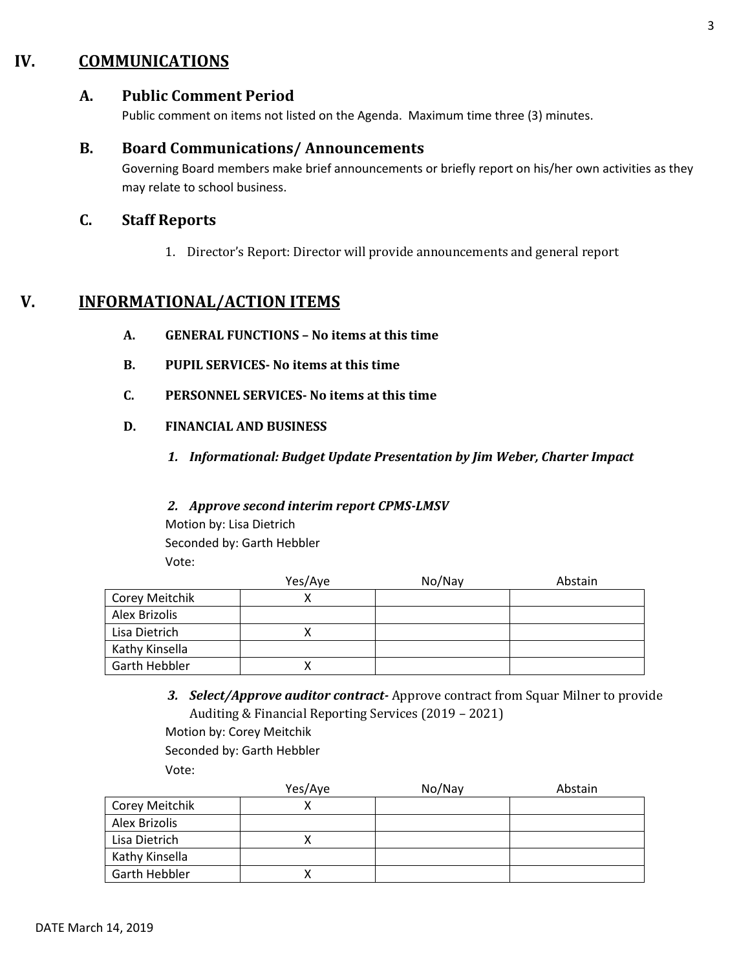## **IV. COMMUNICATIONS**

### **A. Public Comment Period**

Public comment on items not listed on the Agenda. Maximum time three (3) minutes.

#### **B. Board Communications/ Announcements**

Governing Board members make brief announcements or briefly report on his/her own activities as they may relate to school business.

### **C. Staff Reports**

1. Director's Report: Director will provide announcements and general report

## **V. INFORMATIONAL/ACTION ITEMS**

- **A. GENERAL FUNCTIONS – No items at this time**
- **B. PUPIL SERVICES- No items at this time**
- **C. PERSONNEL SERVICES- No items at this time**
- **D. FINANCIAL AND BUSINESS**
	- *1. Informational: Budget Update Presentation by Jim Weber, Charter Impact*

#### *2. Approve second interim report CPMS-LMSV*

Motion by: Lisa Dietrich Seconded by: Garth Hebbler Vote:

|                | Yes/Aye | No/Nay | Abstain |
|----------------|---------|--------|---------|
| Corey Meitchik |         |        |         |
| Alex Brizolis  |         |        |         |
| Lisa Dietrich  |         |        |         |
| Kathy Kinsella |         |        |         |
| Garth Hebbler  |         |        |         |

*3. Select/Approve auditor contract-* Approve contract from Squar Milner to provide Auditing & Financial Reporting Services (2019 – 2021) Motion by: Corey Meitchik Seconded by: Garth Hebbler

Vote:

|                      | Yes/Aye | No/Nay | Abstain |
|----------------------|---------|--------|---------|
| Corey Meitchik       |         |        |         |
| Alex Brizolis        |         |        |         |
| Lisa Dietrich        |         |        |         |
| Kathy Kinsella       |         |        |         |
| <b>Garth Hebbler</b> |         |        |         |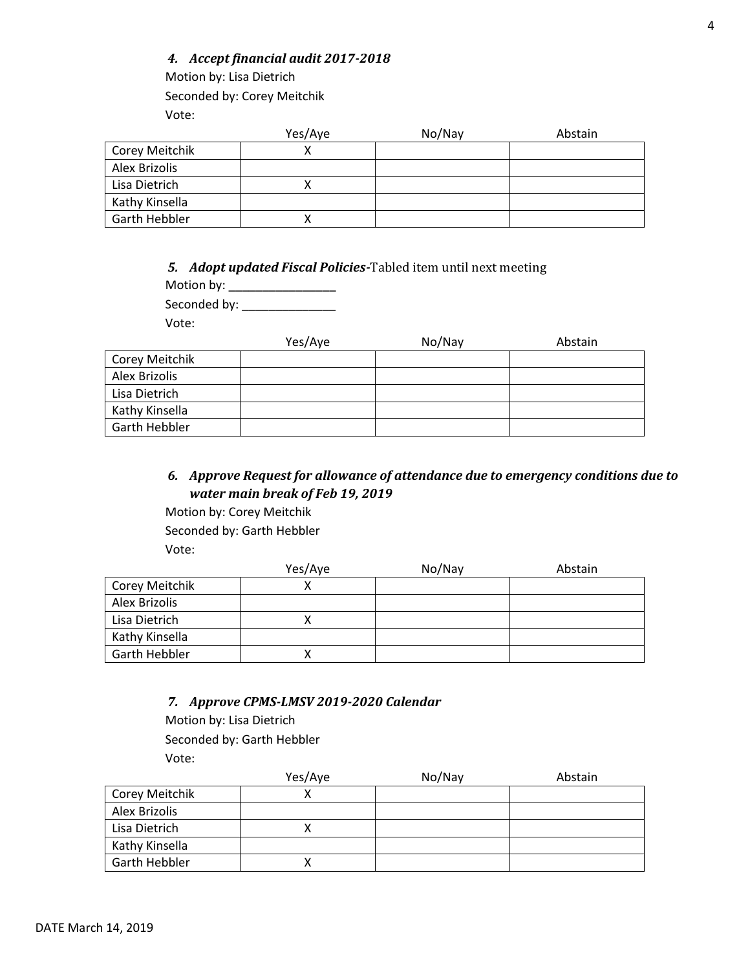#### *4. Accept financial audit 2017-2018*

Motion by: Lisa Dietrich Seconded by: Corey Meitchik

Vote:

|                | Yes/Aye | No/Nay | Abstain |
|----------------|---------|--------|---------|
| Corey Meitchik |         |        |         |
| Alex Brizolis  |         |        |         |
| Lisa Dietrich  |         |        |         |
| Kathy Kinsella |         |        |         |
| Garth Hebbler  |         |        |         |

*5. Adopt updated Fiscal Policies-*Tabled item until next meeting

Motion by: \_\_\_\_\_\_\_\_\_\_\_\_\_\_\_\_\_\_\_\_ Seconded by: \_\_\_\_\_\_\_\_\_\_\_\_\_\_\_\_

Vote:

|                       | Yes/Aye | No/Nay | Abstain |
|-----------------------|---------|--------|---------|
| <b>Corey Meitchik</b> |         |        |         |
| Alex Brizolis         |         |        |         |
| Lisa Dietrich         |         |        |         |
| Kathy Kinsella        |         |        |         |
| <b>Garth Hebbler</b>  |         |        |         |

#### *6. Approve Request for allowance of attendance due to emergency conditions due to water main break of Feb 19, 2019*

Motion by: Corey Meitchik Seconded by: Garth Hebbler Vote:

|                | Yes/Aye | No/Nay | Abstain |
|----------------|---------|--------|---------|
| Corey Meitchik |         |        |         |
| Alex Brizolis  |         |        |         |
| Lisa Dietrich  |         |        |         |
| Kathy Kinsella |         |        |         |
| Garth Hebbler  |         |        |         |

#### *7. Approve CPMS-LMSV 2019-2020 Calendar*

Motion by: Lisa Dietrich Seconded by: Garth Hebbler Vote:

|                      | Yes/Aye | No/Nay | Abstain |
|----------------------|---------|--------|---------|
| Corey Meitchik       |         |        |         |
| Alex Brizolis        |         |        |         |
| Lisa Dietrich        |         |        |         |
| Kathy Kinsella       |         |        |         |
| <b>Garth Hebbler</b> |         |        |         |